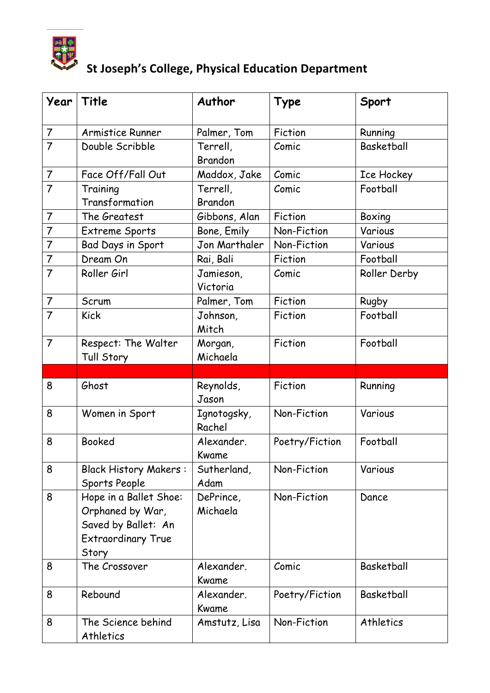

| Year           | Title                                                                                                   | Author                     | Type           | Sport             |
|----------------|---------------------------------------------------------------------------------------------------------|----------------------------|----------------|-------------------|
| $\overline{7}$ | Armistice Runner                                                                                        | Palmer, Tom                | Fiction        | Running           |
| $\overline{7}$ | Double Scribble                                                                                         | Terrell,<br><b>Brandon</b> | Comic          | <b>Basketball</b> |
| $\overline{7}$ | Face Off/Fall Out                                                                                       | Maddox, Jake               | Comic          | Ice Hockey        |
| $\overline{7}$ | Training<br>Transformation                                                                              | Terrell,<br><b>Brandon</b> | Comic          | Football          |
| $\overline{7}$ | The Greatest                                                                                            | Gibbons, Alan              | Fiction        | Boxing            |
| $\overline{7}$ | Extreme Sports                                                                                          | Bone, Emily                | Non-Fiction    | Various           |
| $\overline{7}$ | Bad Days in Sport                                                                                       | Jon Marthaler              | Non-Fiction    | Various           |
| $\overline{7}$ | Dream On                                                                                                | Rai, Bali                  | Fiction        | Football          |
| $\overline{7}$ | Roller Girl                                                                                             | Jamieson,<br>Victoria      | Comic          | Roller Derby      |
| $\overline{7}$ | Scrum                                                                                                   | Palmer, Tom                | Fiction        | Rugby             |
| $\overline{7}$ | <b>Kick</b>                                                                                             | Johnson,<br>Mitch          | Fiction        | Football          |
| $\overline{7}$ | Respect: The Walter<br>Tull Story                                                                       | Morgan,<br>Michaela        | Fiction        | Football          |
|                |                                                                                                         |                            |                |                   |
|                |                                                                                                         |                            |                |                   |
| 8              | Ghost                                                                                                   | Reynolds,<br>Jason         | Fiction        | Running           |
| 8              | Women in Sport                                                                                          | Ignotogsky,<br>Rachel      | Non-Fiction    | Various           |
| 8              | <b>Booked</b>                                                                                           | Alexander.<br>Kwame        | Poetry/Fiction | Football          |
| 8              | <b>Black History Makers:</b><br>Sports People                                                           | Sutherland,<br>Adam        | Non-Fiction    | Various           |
| 8              | Hope in a Ballet Shoe:<br>Orphaned by War,<br>Saved by Ballet: An<br><b>Extraordinary True</b><br>Story | DePrince,<br>Michaela      | Non-Fiction    | Dance             |
| 8              | The Crossover                                                                                           | Alexander.<br>Kwame        | Comic          | Basketball        |
| 8              | Rebound                                                                                                 | Alexander.<br>Kwame        | Poetry/Fiction | <b>Basketball</b> |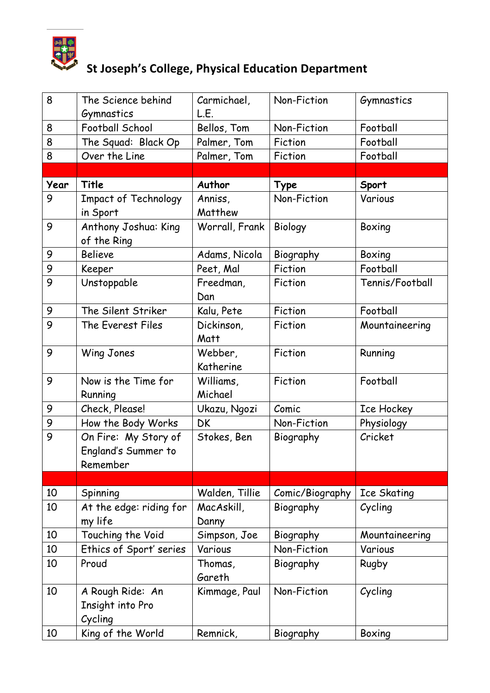

| 8        | The Science behind                                                   | Carmichael,               | Non-Fiction              | Gymnastics        |
|----------|----------------------------------------------------------------------|---------------------------|--------------------------|-------------------|
|          | Gymnastics                                                           | L.E.                      |                          |                   |
| 8        | Football School                                                      | Bellos, Tom               | Non-Fiction              | Football          |
| 8        | The Squad: Black Op                                                  | Palmer, Tom               | Fiction                  | Football          |
| 8        | Over the Line                                                        | Palmer, Tom               | Fiction                  | Football          |
|          |                                                                      |                           |                          |                   |
| Year     | Title                                                                | Author                    | Type                     | Sport             |
| 9        | <b>Impact of Technology</b>                                          | Anniss,                   | Non-Fiction              | Various           |
|          | in Sport                                                             | Matthew                   |                          |                   |
| 9        | Anthony Joshua: King                                                 | Worrall, Frank            | Biology                  | Boxing            |
|          | of the Ring                                                          |                           |                          |                   |
| 9        | <b>Believe</b>                                                       | Adams, Nicola             | Biography                | Boxing            |
| 9        | Keeper                                                               | Peet, Mal                 | Fiction                  | Football          |
| 9        | Unstoppable                                                          | Freedman,<br>Dan          | Fiction                  | Tennis/Football   |
| 9        | The Silent Striker                                                   | Kalu, Pete                | Fiction                  | Football          |
| 9        | The Everest Files                                                    | Dickinson,<br>Matt        | Fiction                  | Mountaineering    |
| 9        | Wing Jones                                                           | Webber,<br>Katherine      | Fiction                  | Running           |
| 9        | Now is the Time for<br>Running                                       | Williams,<br>Michael      | Fiction                  | Football          |
| 9        | Check, Please!                                                       | Ukazu, Ngozi              | Comic                    | Ice Hockey        |
| 9        | How the Body Works                                                   | DK.                       | Non-Fiction              | Physiology        |
| 9        | On Fire: My Story of<br>England's Summer to<br>Remember              | Stokes, Ben               | Biography                | Cricket           |
|          |                                                                      |                           |                          |                   |
| 10       | Spinning                                                             | Walden, Tillie            | Comic/Biography          | Ice Skating       |
| 10       | At the edge: riding for<br>my life                                   | MacAskill,<br>Danny       | Biography                | Cycling           |
| 10       | Touching the Void                                                    | Simpson, Joe              | Biography                | Mountaineering    |
| 10       | Ethics of Sport' series                                              | Various                   | Non-Fiction              | Various           |
| 10       | Proud                                                                | Thomas,<br>Gareth         | Biography                | Rugby             |
| 10<br>10 | A Rough Ride: An<br>Insight into Pro<br>Cycling<br>King of the World | Kimmage, Paul<br>Remnick, | Non-Fiction<br>Biography | Cycling<br>Boxing |
|          |                                                                      |                           |                          |                   |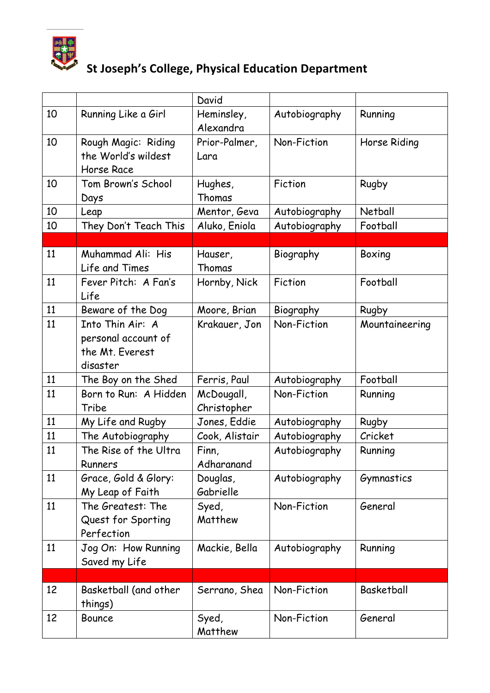

|    |                       | David          |               |                |
|----|-----------------------|----------------|---------------|----------------|
| 10 | Running Like a Girl   | Heminsley,     | Autobiography | Running        |
|    |                       | Alexandra      |               |                |
| 10 | Rough Magic: Riding   | Prior-Palmer,  | Non-Fiction   | Horse Riding   |
|    | the World's wildest   | Lara           |               |                |
|    | Horse Race            |                |               |                |
| 10 | Tom Brown's School    | Hughes,        | Fiction       | Rugby          |
|    | Days                  | Thomas         |               |                |
| 10 | Leap                  | Mentor, Geva   | Autobiography | Netball        |
| 10 | They Don't Teach This | Aluko, Eniola  | Autobiography | Football       |
|    |                       |                |               |                |
| 11 | Muhammad Ali: His     | Hauser,        | Biography     | Boxing         |
|    | Life and Times        | Thomas         |               |                |
| 11 | Fever Pitch: A Fan's  | Hornby, Nick   | Fiction       | Football       |
|    | Life                  |                |               |                |
| 11 | Beware of the Dog     | Moore, Brian   | Biography     | Rugby          |
| 11 | Into Thin Air: A      | Krakauer, Jon  | Non-Fiction   | Mountaineering |
|    | personal account of   |                |               |                |
|    | the Mt. Everest       |                |               |                |
|    | disaster              |                |               |                |
| 11 | The Boy on the Shed   | Ferris, Paul   | Autobiography | Football       |
| 11 | Born to Run: A Hidden | McDougall,     | Non-Fiction   | Running        |
|    | Tribe                 | Christopher    |               |                |
| 11 | My Life and Rugby     | Jones, Eddie   | Autobiography | Rugby          |
| 11 | The Autobiography     | Cook, Alistair | Autobiography | Cricket        |
| 11 | The Rise of the Ultra | Finn,          | Autobiography | Running        |
|    | Runners               | Adharanand     |               |                |
| 11 | Grace, Gold & Glory:  | Douglas,       | Autobiography | Gymnastics     |
|    | My Leap of Faith      | Gabrielle      |               |                |
| 11 | The Greatest: The     | Syed,          | Non-Fiction   | General        |
|    | Quest for Sporting    | Matthew        |               |                |
|    | Perfection            |                |               |                |
| 11 | Jog On: How Running   | Mackie, Bella  | Autobiography | Running        |
|    | Saved my Life         |                |               |                |
|    |                       |                |               |                |
| 12 | Basketball (and other | Serrano, Shea  | Non-Fiction   | Basketball     |
|    | things)               |                |               |                |
| 12 | <b>Bounce</b>         | Syed,          | Non-Fiction   | General        |
|    |                       | Matthew        |               |                |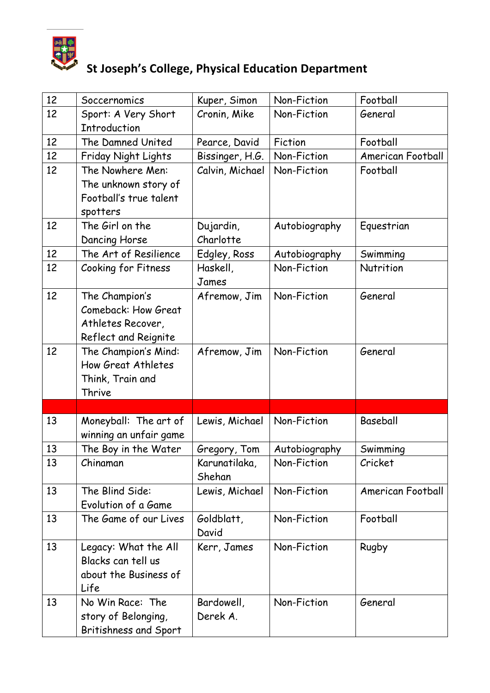

| 12 | Soccernomics           | Kuper, Simon    | Non-Fiction   | Football          |
|----|------------------------|-----------------|---------------|-------------------|
| 12 | Sport: A Very Short    | Cronin, Mike    | Non-Fiction   | General           |
|    | <b>Introduction</b>    |                 |               |                   |
| 12 | The Damned United      | Pearce, David   | Fiction       | Football          |
| 12 | Friday Night Lights    | Bissinger, H.G. | Non-Fiction   | American Football |
| 12 | The Nowhere Men:       | Calvin, Michael | Non-Fiction   | Football          |
|    | The unknown story of   |                 |               |                   |
|    | Football's true talent |                 |               |                   |
|    | spotters               |                 |               |                   |
| 12 | The Girl on the        | Dujardin,       | Autobiography | Equestrian        |
|    | Dancing Horse          | Charlotte       |               |                   |
| 12 | The Art of Resilience  | Edgley, Ross    | Autobiography | Swimming          |
| 12 | Cooking for Fitness    | Haskell,        | Non-Fiction   | Nutrition         |
|    |                        | James           |               |                   |
| 12 | The Champion's         | Afremow, Jim    | Non-Fiction   | General           |
|    | Comeback: How Great    |                 |               |                   |
|    | Athletes Recover,      |                 |               |                   |
|    | Reflect and Reignite   |                 |               |                   |
| 12 | The Champion's Mind:   | Afremow, Jim    | Non-Fiction   | General           |
|    | How Great Athletes     |                 |               |                   |
|    | Think, Train and       |                 |               |                   |
|    | Thrive                 |                 |               |                   |
|    |                        |                 |               |                   |
| 13 | Moneyball: The art of  | Lewis, Michael  | Non-Fiction   | Baseball          |
|    | winning an unfair game |                 |               |                   |
| 13 | The Boy in the Water   | Gregory, Tom    | Autobiography | Swimming          |
| 13 | Chinaman               | Karunatilaka,   | Non-Fiction   | Cricket           |
|    |                        | Shehan          |               |                   |
| 13 | The Blind Side:        | Lewis, Michael  | Non-Fiction   | American Football |
|    | Evolution of a Game    |                 |               |                   |
| 13 | The Game of our Lives  | Goldblatt,      | Non-Fiction   | Football          |
|    |                        | David           |               |                   |
| 13 | Legacy: What the All   | Kerr, James     | Non-Fiction   | Rugby             |
|    | Blacks can tell us     |                 |               |                   |
|    | about the Business of  |                 |               |                   |
|    | Life                   |                 |               |                   |
| 13 | No Win Race: The       | Bardowell,      | Non-Fiction   | General           |
|    | story of Belonging,    | Derek A.        |               |                   |
|    | Britishness and Sport  |                 |               |                   |